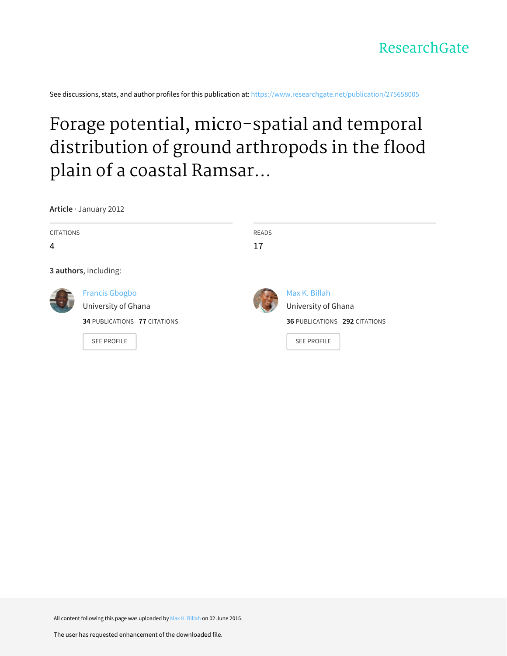

See discussions, stats, and author profiles for this publication at: [https://www.researchgate.net/publication/275658005](https://www.researchgate.net/publication/275658005_Forage_potential_micro-spatial_and_temporal_distribution_of_ground_arthropods_in_the_flood_plain_of_a_coastal_Ramsar_site_in_Ghana?enrichId=rgreq-7f75d4c88b5b36aa8549dd75dc5719a2-XXX&enrichSource=Y292ZXJQYWdlOzI3NTY1ODAwNTtBUzoyMzU4NDYwOTU4NjM4MDhAMTQzMzI0MTQ5OTA1Nw%3D%3D&el=1_x_2&_esc=publicationCoverPdf)

# Forage potential, micro-spatial and temporal distribution of ground arthropods in the flood plain of a coastal Ramsar...

**Article** · January 2012

| <b>CITATIONS</b><br>4 |                                                                                                           | <b>READS</b><br>17 |                                                                                             |
|-----------------------|-----------------------------------------------------------------------------------------------------------|--------------------|---------------------------------------------------------------------------------------------|
|                       | 3 authors, including:                                                                                     |                    |                                                                                             |
|                       | <b>Francis Gbogbo</b><br>University of Ghana<br><b>34 PUBLICATIONS 77 CITATIONS</b><br><b>SEE PROFILE</b> |                    | Max K. Billah<br>University of Ghana<br>36 PUBLICATIONS 292 CITATIONS<br><b>SEE PROFILE</b> |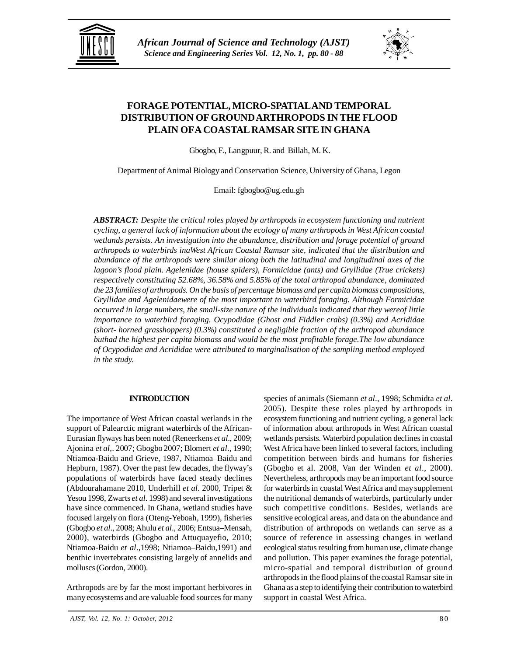



# **FORAGE POTENTIAL, MICRO-SPATIALAND TEMPORAL DISTRIBUTION OF GROUND ARTHROPODS IN THE FLOOD PLAIN OFA COASTAL RAMSAR SITE IN GHANA**

Gbogbo, F., Langpuur, R. and Billah, M. K.

Department of Animal Biology and Conservation Science, University of Ghana, Legon

Email: fgbogbo@ug.edu.gh

*ABSTRACT: Despite the critical roles played by arthropods in ecosystem functioning and nutrient cycling, a general lack of information about the ecology of many arthropods in West African coastal wetlands persists. An investigation into the abundance, distribution and forage potential of ground arthropods to waterbirds inaWest African Coastal Ramsar site, indicated that the distribution and abundance of the arthropods were similar along both the latitudinal and longitudinal axes of the lagoon's flood plain. Agelenidae (house spiders), Formicidae (ants) and Gryllidae (True crickets) respectively constituting 52.68%, 36.58% and 5.85% of the total arthropod abundance, dominated the 23 families of arthropods. On the basis of percentage biomass and per capita biomass compositions, Gryllidae and Agelenidaewere of the most important to waterbird foraging. Although Formicidae occurred in large numbers, the small-size nature of the individuals indicated that they wereof little importance to waterbird foraging. Ocypodidae (Ghost and Fiddler crabs) (0.3%) and Acrididae (short- horned grasshoppers) (0.3%) constituted a negligible fraction of the arthropod abundance buthad the highest per capita biomass and would be the most profitable forage.The low abundance of Ocypodidae and Acrididae were attributed to marginalisation of the sampling method employed in the study.*

## **INTRODUCTION**

The importance of West African coastal wetlands in the support of Palearctic migrant waterbirds of the African-Eurasian flyways has been noted (Reneerkens *et al*., 2009; Ajonina *et al*,. 2007; Gbogbo 2007; Blomert *et al*., 1990; Ntiamoa-Baidu and Grieve, 1987, Ntiamoa–Baidu and Hepburn, 1987). Over the past few decades, the flyway's populations of waterbirds have faced steady declines (Abdourahamane 2010, Underhill *et al*. 2000, Tripet & Yesou 1998, Zwarts *et al*. 1998) and several investigations have since commenced. In Ghana, wetland studies have focused largely on flora (Oteng-Yeboah, 1999), fisheries (Gbogbo *et al*., 2008; Ahulu *et al*., 2006; Entsua–Mensah, 2000), waterbirds (Gbogbo and Attuquayefio, 2010; Ntiamoa-Baidu *et al*.,1998; Ntiamoa–Baidu,1991) and benthic invertebrates consisting largely of annelids and molluscs (Gordon, 2000).

Arthropods are by far the most important herbivores in many ecosystems and are valuable food sources for many species of animals (Siemann *et al*., 1998; Schmidta *et al*. 2005). Despite these roles played by arthropods in ecosystem functioning and nutrient cycling, a general lack of information about arthropods in West African coastal wetlands persists. Waterbird population declines in coastal West Africa have been linked to several factors, including competition between birds and humans for fisheries (Gbogbo et al. 2008, Van der Winden *et al*., 2000). Nevertheless, arthropods may be an important food source for waterbirds in coastal West Africa and may supplement the nutritional demands of waterbirds, particularly under such competitive conditions. Besides, wetlands are sensitive ecological areas, and data on the abundance and distribution of arthropods on wetlands can serve as a source of reference in assessing changes in wetland ecological status resulting from human use, climate change and pollution. This paper examines the forage potential, micro-spatial and temporal distribution of ground arthropods in the flood plains of the coastal Ramsar site in Ghana as a step to identifying their contribution to waterbird support in coastal West Africa.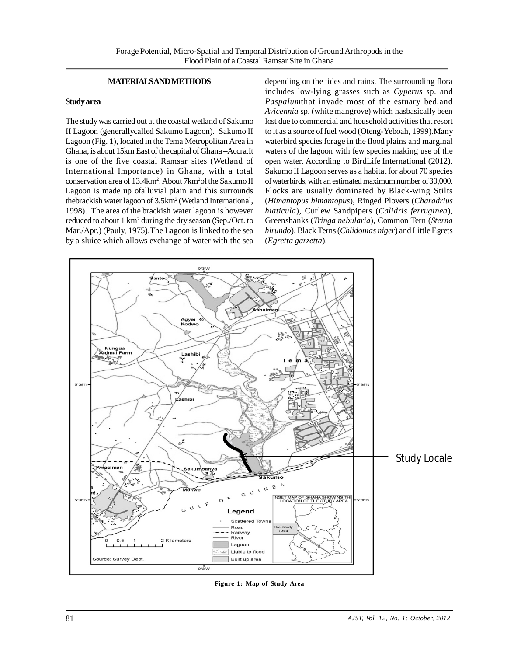# **MATERIALS AND METHODS**

#### **Study area**

The study was carried out at the coastal wetland of Sakumo II Lagoon (generallycalled Sakumo Lagoon). Sakumo II Lagoon (Fig. 1), located in the Tema Metropolitan Area in Ghana, is about 15km East of the capital of Ghana –Accra.It is one of the five coastal Ramsar sites (Wetland of International Importance) in Ghana, with a total conservation area of 13.4km<sup>2</sup> . About 7km<sup>2</sup>of the Sakumo II Lagoon is made up ofalluvial plain and this surrounds thebrackish water lagoon of 3.5km<sup>2</sup> (Wetland International, 1998). The area of the brackish water lagoon is however reduced to about 1 km<sup>2</sup> during the dry season (Sep./Oct. to Mar./Apr.) (Pauly, 1975).The Lagoon is linked to the sea by a sluice which allows exchange of water with the sea

depending on the tides and rains. The surrounding flora includes low-lying grasses such as *Cyperus* sp. and *Paspalum*that invade most of the estuary bed,and *Avicennia* sp. (white mangrove) which hasbasically been lost due to commercial and household activities that resort to it as a source of fuel wood (Oteng-Yeboah, 1999).Many waterbird species forage in the flood plains and marginal waters of the lagoon with few species making use of the open water. According to BirdLife International (2012), Sakumo II Lagoon serves as a habitat for about 70 species of waterbirds, with an estimated maximum number of 30,000. Flocks are usually dominated by Black-wing Stilts (*Himantopus himantopus*), Ringed Plovers (*Charadrius hiaticula*), Curlew Sandpipers (*Calidris ferruginea*), Greenshanks (*Tringa nebularia*), Common Tern (*Sterna hirundo*), Black Terns (*Chlidonias niger*) and Little Egrets (*Egretta garzetta*).



**Figure 1: Map of Study Area**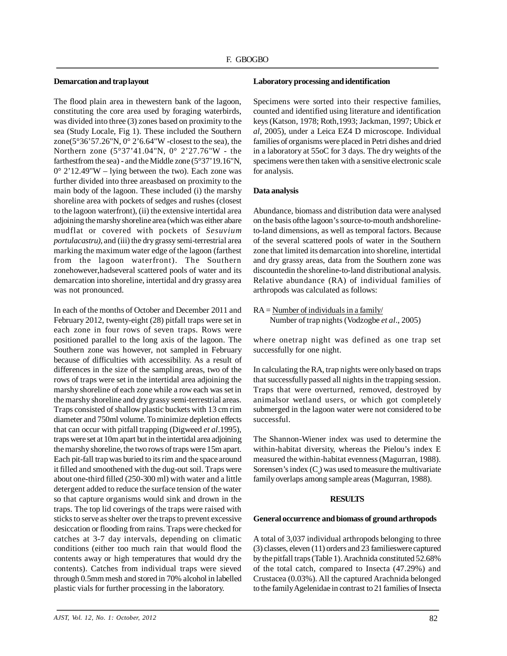## **Demarcation and trap layout**

The flood plain area in thewestern bank of the lagoon, constituting the core area used by foraging waterbirds, was divided into three (3) zones based on proximity to the sea (Study Locale, Fig 1). These included the Southern zone( $5^{\circ}36'57.26''N$ ,  $0^{\circ}2'6.64''W$  -closest to the sea), the Northern zone (5°37'41.04"N, 0° 2'27.76"W - the farthestfrom the sea) - and the Middle zone (5°37'19.16"N,  $0^{\circ}$  2'12.49"W – lying between the two). Each zone was further divided into three areasbased on proximity to the main body of the lagoon. These included (i) the marshy shoreline area with pockets of sedges and rushes (closest to the lagoon waterfront), (ii) the extensive intertidal area adjoining the marshy shoreline area (which was either abare mudflat or covered with pockets of *Sesuvium portulacastru),* and (iii) the dry grassy semi-terrestrial area marking the maximum water edge of the lagoon (farthest from the lagoon waterfront). The Southern zonehowever,hadseveral scattered pools of water and its demarcation into shoreline, intertidal and dry grassy area was not pronounced.

In each of the months of October and December 2011 and February 2012, twenty-eight (28) pitfall traps were set in each zone in four rows of seven traps. Rows were positioned parallel to the long axis of the lagoon. The Southern zone was however, not sampled in February because of difficulties with accessibility. As a result of differences in the size of the sampling areas, two of the rows of traps were set in the intertidal area adjoining the marshy shoreline of each zone while a row each was set in the marshy shoreline and dry grassy semi-terrestrial areas. Traps consisted of shallow plastic buckets with 13 cm rim diameter and 750ml volume. To minimize depletion effects that can occur with pitfall trapping (Digweed *et al*.1995), traps were set at 10m apart but in the intertidal area adjoining the marshy shoreline, the two rows of traps were 15m apart. Each pit-fall trap was buried to its rim and the space around it filled and smoothened with the dug-out soil. Traps were about one-third filled (250-300 ml) with water and a little detergent added to reduce the surface tension of the water so that capture organisms would sink and drown in the traps. The top lid coverings of the traps were raised with sticks to serve as shelter over the traps to prevent excessive desiccation or flooding from rains. Traps were checked for catches at 3-7 day intervals, depending on climatic conditions (either too much rain that would flood the contents away or high temperatures that would dry the contents). Catches from individual traps were sieved through 0.5mm mesh and stored in 70% alcohol in labelled plastic vials for further processing in the laboratory.

#### **Laboratory processing and identification**

Specimens were sorted into their respective families, counted and identified using literature and identification keys (Katson, 1978; Roth,1993; Jackman, 1997; Ubick *et al*, 2005), under a Leica EZ4 D microscope. Individual families of organisms were placed in Petri dishes and dried in a laboratory at 55oC for 3 days. The dry weights of the specimens were then taken with a sensitive electronic scale for analysis.

#### **Data analysis**

Abundance, biomass and distribution data were analysed on the basis ofthe lagoon's source-to-mouth andshorelineto-land dimensions, as well as temporal factors. Because of the several scattered pools of water in the Southern zone that limited its demarcation into shoreline, intertidal and dry grassy areas, data from the Southern zone was discountedin the shoreline-to-land distributional analysis. Relative abundance (RA) of individual families of arthropods was calculated as follows:

 $RA =$  Number of individuals in a family/ Number of trap nights (Vodzogbe *et al*., 2005)

where onetrap night was defined as one trap set successfully for one night.

In calculating the RA, trap nights were only based on traps that successfully passed all nights in the trapping session. Traps that were overturned, removed, destroyed by animalsor wetland users, or which got completely submerged in the lagoon water were not considered to be successful.

The Shannon-Wiener index was used to determine the within-habitat diversity, whereas the Pielou's index E measured the within-habitat evenness (Magurran, 1988). Sorensen's index  $(C<sub>s</sub>)$  was used to measure the multivariate family overlaps among sample areas (Magurran, 1988).

#### **RESULTS**

# **General occurrence and biomass of ground arthropods**

A total of 3,037 individual arthropods belonging to three (3) classes, eleven (11) orders and 23 familieswere captured by the pitfall traps (Table 1). Arachnida constituted 52.68% of the total catch, compared to Insecta (47.29%) and Crustacea (0.03%). All the captured Arachnida belonged to the family Agelenidae in contrast to 21 families of Insecta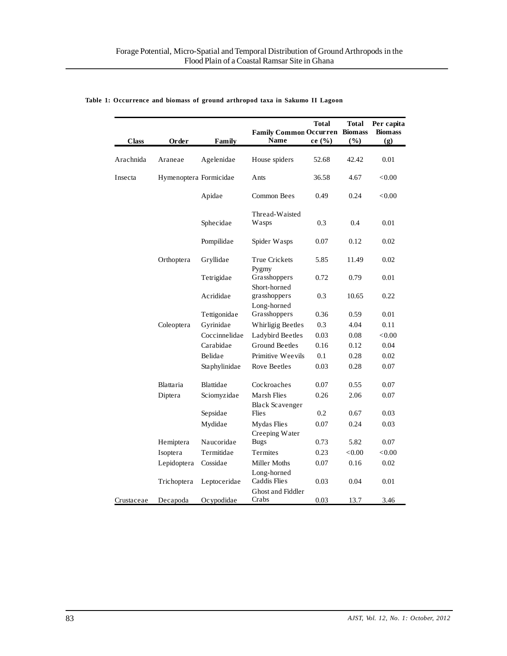| <b>Class</b> | Order                  | Family        | <b>Family Common Occurren</b><br><b>Name</b> | <b>Total</b><br>ce $(\% )$ | Total<br><b>Biomass</b><br>(9/0) | Per capita<br><b>Biomass</b><br>(g) |
|--------------|------------------------|---------------|----------------------------------------------|----------------------------|----------------------------------|-------------------------------------|
| Arachnida    | Araneae                | Agelenidae    | House spiders                                | 52.68                      | 42.42                            | 0.01                                |
| Insecta      | Hymenoptera Formicidae |               | Ants                                         | 36.58                      | 4.67                             | ${<}0.00$                           |
|              |                        | Apidae        | Common Bees                                  | 0.49                       | 0.24                             | ${<}0.00$                           |
|              |                        | Sphecidae     | Thread-Waisted<br>Wasps                      | 0.3                        | 0.4                              | 0.01                                |
|              |                        | Pompilidae    | Spider Wasps                                 | 0.07                       | 0.12                             | 0.02                                |
|              | Orthoptera             | Gryllidae     | <b>True Crickets</b>                         | 5.85                       | 11.49                            | 0.02                                |
|              |                        | Tetrigidae    | Pygmy<br>Grasshoppers                        | 0.72                       | 0.79                             | 0.01                                |
|              |                        | Acrididae     | Short-horned<br>grasshoppers                 | 0.3                        | 10.65                            | 0.22                                |
|              |                        | Tettigonidae  | Long-horned<br>Grasshoppers                  | 0.36                       | 0.59                             | 0.01                                |
|              | Coleoptera             | Gyrinidae     | Whirligig Beetles                            | 0.3                        | 4.04                             | 0.11                                |
|              |                        | Coccinnelidae | Ladybird Beetles                             | 0.03                       | 0.08                             | < 0.00                              |
|              |                        | Carabidae     | Ground Beetles                               | 0.16                       | 0.12                             | 0.04                                |
|              |                        | Belidae       | Primitive Weevils                            | 0.1                        | 0.28                             | 0.02                                |
|              |                        | Staphylinidae | Rove Beetles                                 | 0.03                       | 0.28                             | 0.07                                |
|              | Blattaria              | Blattidae     | Cockroaches                                  | 0.07                       | 0.55                             | 0.07                                |
|              | Diptera                | Sciomyzidae   | Marsh Flies<br><b>Black Scavenger</b>        | 0.26                       | 2.06                             | 0.07                                |
|              |                        | Sepsidae      | Flies                                        | 0.2                        | 0.67                             | 0.03                                |
|              |                        | Mydidae       | Mydas Flies                                  | 0.07                       | 0.24                             | 0.03                                |
|              |                        |               | Creeping Water                               |                            |                                  |                                     |
|              | Hemiptera              | Naucoridae    | <b>Bugs</b>                                  | 0.73                       | 5.82                             | 0.07                                |
|              | Isoptera               | Termitidae    | <b>Termites</b>                              | 0.23                       | <0.00                            | < 0.00                              |
|              | Lepidoptera            | Cossidae      | Miller Moths                                 | 0.07                       | 0.16                             | 0.02                                |
|              | Trichoptera            | Leptoceridae  | Long-horned<br>Caddis Flies                  | 0.03                       | 0.04                             | 0.01                                |
| Crustaceae   | Decapoda               | Ocypodidae    | Ghost and Fiddler<br>Crabs                   | 0.03                       | 13.7                             | 3.46                                |

## **Table 1: Occurrence and biomass of ground arthropod taxa in Sakumo II Lagoon**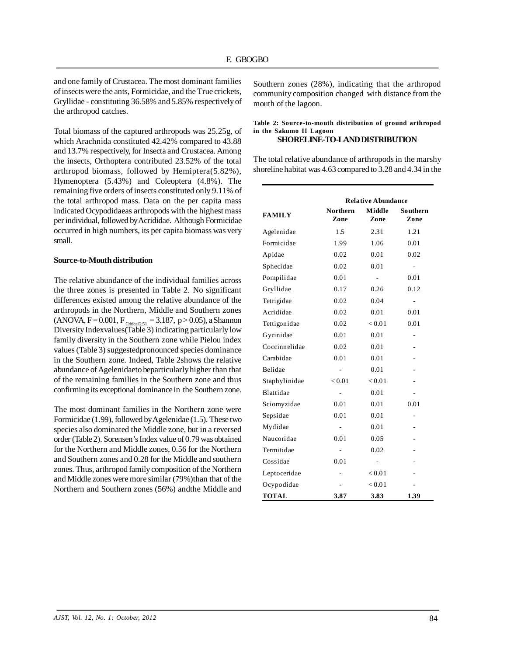and one family of Crustacea. The most dominant families of insects were the ants, Formicidae, and the True crickets, Gryllidae - constituting 36.58% and 5.85% respectively of the arthropod catches.

Total biomass of the captured arthropods was 25.25g, of which Arachnida constituted 42.42% compared to 43.88 and 13.7% respectively, for Insecta and Crustacea. Among the insects, Orthoptera contributed 23.52% of the total arthropod biomass, followed by Hemiptera(5.82%), Hymenoptera (5.43%) and Coleoptera (4.8%). The remaining five orders of insects constituted only 9.11% of the total arthropod mass. Data on the per capita mass indicated Ocypodidaeas arthropods with the highest mass per individual, followed by Acrididae. Although Formicidae occurred in high numbers, its per capita biomass was very small.

## **Source-to-Mouth distribution**

The relative abundance of the individual families across the three zones is presented in Table 2. No significant differences existed among the relative abundance of the arthropods in the Northern, Middle and Southern zones  $(ANOVA, F = 0.001, F<sub>Critical2,51</sub> = 3.187, p > 0.05), a Shannon$ Diversity Indexvalues(Table 3) indicating particularly low family diversity in the Southern zone while Pielou index values (Table 3) suggestedpronounced species dominance in the Southern zone. Indeed, Table 2shows the relative abundance of Agelenidaeto beparticularly higher than that of the remaining families in the Southern zone and thus confirming its exceptional dominance in the Southern zone.

The most dominant families in the Northern zone were Formicidae (1.99), followed by Agelenidae (1.5). These two species also dominated the Middle zone, but in a reversed order (Table 2). Sorensen's Index value of 0.79 was obtained for the Northern and Middle zones, 0.56 for the Northern and Southern zones and 0.28 for the Middle and southern zones. Thus, arthropod family composition of the Northern and Middle zones were more similar (79%)than that of the Northern and Southern zones (56%) andthe Middle and

Southern zones (28%), indicating that the arthropod community composition changed with distance from the mouth of the lagoon.

# **Table 2: Source-to-mouth distribution of ground arthropod in the Sakumo II Lagoon**

# **SHORELINE-TO-LAND DISTRIBUTION**

The total relative abundance of arthropods in the marshy shoreline habitat was 4.63 compared to 3.28 and 4.34 in the

|               | <b>Relative Abundance</b> |                |                  |  |  |
|---------------|---------------------------|----------------|------------------|--|--|
| <b>FAMILY</b> | <b>Northern</b><br>Zone   | Middle<br>Zone | Southern<br>Zone |  |  |
| Agelenidae    | 1.5                       | 2.31           | 1.21             |  |  |
| Formicidae    | 1.99                      | 1.06           | 0.01             |  |  |
| Apidae        | 0.02                      | 0.01           | 0.02             |  |  |
| Sphecidae     | 0.02                      | 0.01           |                  |  |  |
| Pompilidae    | 0.01                      | -              | 0.01             |  |  |
| Gryllidae     | 0.17                      | 0.26           | 0.12             |  |  |
| Tetrigidae    | 0.02                      | 0.04           | ٠                |  |  |
| Acrididae     | 0.02                      | 0.01           | 0.01             |  |  |
| Tettigonidae  | 0.02                      | < 0.01         | 0.01             |  |  |
| Gyrinidae     | 0.01                      | 0.01           |                  |  |  |
| Coccinnelidae | 0.02                      | 0.01           |                  |  |  |
| Carabidae     | 0.01                      | 0.01           |                  |  |  |
| Belidae       | $\frac{1}{2}$             | 0.01           |                  |  |  |
| Staphylinidae | < 0.01                    | < 0.01         |                  |  |  |
| Blattidae     |                           | 0.01           |                  |  |  |
| Sciomyzidae   | 0.01                      | 0.01           | 0.01             |  |  |
| Sepsidae      | 0.01                      | 0.01           |                  |  |  |
| Mydidae       | ÷,                        | 0.01           |                  |  |  |
| Naucoridae    | 0.01                      | 0.05           |                  |  |  |
| Termitidae    |                           | 0.02           |                  |  |  |
| Cossidae      | 0.01                      | ÷,             |                  |  |  |
| Leptoceridae  |                           | < 0.01         |                  |  |  |
| Ocypodidae    |                           | < 0.01         |                  |  |  |
| <b>TOTAL</b>  | 3.87                      | 3.83           | 1.39             |  |  |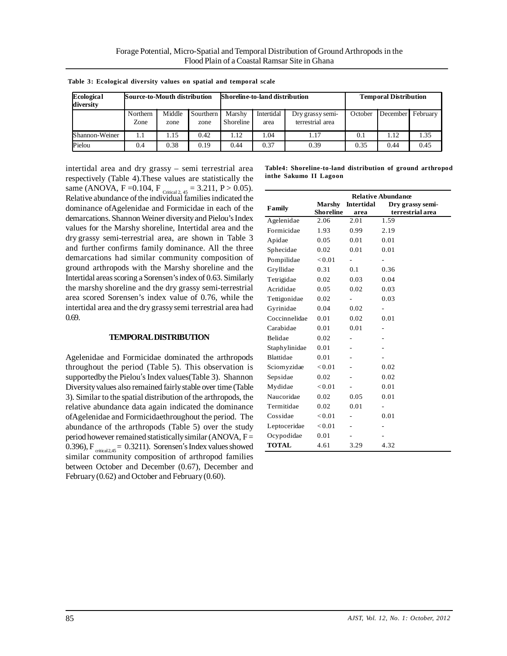| Ecological<br>diversity | Source-to-Mouth distribution |                |                   | Shoreline-to-land distribution |                    |                                      | <b>Temporal Distribution</b> |            |          |
|-------------------------|------------------------------|----------------|-------------------|--------------------------------|--------------------|--------------------------------------|------------------------------|------------|----------|
|                         | Northern<br>Zone             | Middle<br>zone | Sourthern<br>zone | Marshy<br>Shoreline            | Intertidal<br>area | Dry grassy semi-<br>terrestrial area | October                      | December I | February |
| Shannon-Weiner          | 1.1                          | 1.15           | 0.42              | .12                            | .04                | 1.17                                 | 0.1                          | 1.12       | 1.35     |
| Pielou                  | 0.4                          | 0.38           | 0.19              | 0.44                           | 0.37               | 0.39                                 | 0.35                         | 0.44       | 0.45     |

**Table 3: Ecological diversity values on spatial and temporal scale**

intertidal area and dry grassy – semi terrestrial area respectively (Table 4).These values are statistically the same (ANOVA, F = 0.104, F  $_{\text{Critical 2, 45}}$  = 3.211, P > 0.05). Relative abundance of the individual families indicated the dominance ofAgelenidae and Formicidae in each of the demarcations. Shannon Weiner diversity and Pielou's Index values for the Marshy shoreline, Intertidal area and the dry grassy semi-terrestrial area, are shown in Table 3 and further confirms family dominance. All the three demarcations had similar community composition of ground arthropods with the Marshy shoreline and the Intertidal areas scoring a Sorensen's index of 0.63. Similarly the marshy shoreline and the dry grassy semi-terrestrial area scored Sorensen's index value of 0.76, while the intertidal area and the dry grassy semi terrestrial area had 0.69.

#### **TEMPORAL DISTRIBUTION**

Agelenidae and Formicidae dominated the arthropods throughout the period (Table 5). This observation is supportedby the Pielou's Index values(Table 3). Shannon Diversity values also remained fairly stable over time (Table 3). Similar to the spatial distribution of the arthropods, the relative abundance data again indicated the dominance ofAgelenidae and Formicidaethroughout the period. The abundance of the arthropods (Table 5) over the study period however remained statistically similar (ANOVA,  $F =$ 0.396),  $F_{critical,45} = 0.3211$ . Sorensen's Index values showed similar community composition of arthropod families between October and December (0.67), December and February (0.62) and October and February (0.60).

**Table4: Shoreline-to-land distribution of ground arthropod inthe Sakumo II Lagoon**

|                | <b>Relative Abundance</b> |                   |                  |  |
|----------------|---------------------------|-------------------|------------------|--|
| Family         | <b>Marshy</b>             | <b>Intertidal</b> | Dry grassy semi- |  |
|                | <b>Shoreline</b>          | area              | terrestrial area |  |
| Agelenidae     | 2.06                      | 2.01              | 1.59             |  |
| Formicidae     | 1.93                      | 0.99              | 2.19             |  |
| Apidae         | 0.05                      | 0.01              | 0.01             |  |
| Sphecidae      | 0.02                      | 0.01              | 0.01             |  |
| Pompilidae     | ${<}0.01$                 |                   |                  |  |
| Gryllidae      | 0.31                      | 0.1               | 0.36             |  |
| Tetrigidae     | 0.02                      | 0.03              | 0.04             |  |
| Acrididae      | 0.05                      | 0.02              | 0.03             |  |
| Tettigonidae   | 0.02                      |                   | 0.03             |  |
| Gyrinidae      | 0.04                      | 0.02              |                  |  |
| Coccinnelidae  | 0.01                      | 0.02              | 0.01             |  |
| Carabidae      | 0.01                      | 0.01              |                  |  |
| <b>Belidae</b> | 0.02                      |                   |                  |  |
| Staphylinidae  | 0.01                      |                   |                  |  |
| Blattidae      | 0.01                      |                   |                  |  |
| Sciomyzidae    | < 0.01                    |                   | 0.02             |  |
| Sepsidae       | 0.02                      |                   | 0.02             |  |
| Mydidae        | < 0.01                    |                   | 0.01             |  |
| Naucoridae     | 0.02                      | 0.05              | 0.01             |  |
| Termitidae     | 0.02                      | 0.01              |                  |  |
| Cossidae       | < 0.01                    |                   | 0.01             |  |
| Leptoceridae   | < 0.01                    |                   |                  |  |
| Ocypodidae     | 0.01                      |                   |                  |  |
| <b>TOTAL</b>   | 4.61                      | 3.29              | 4.32             |  |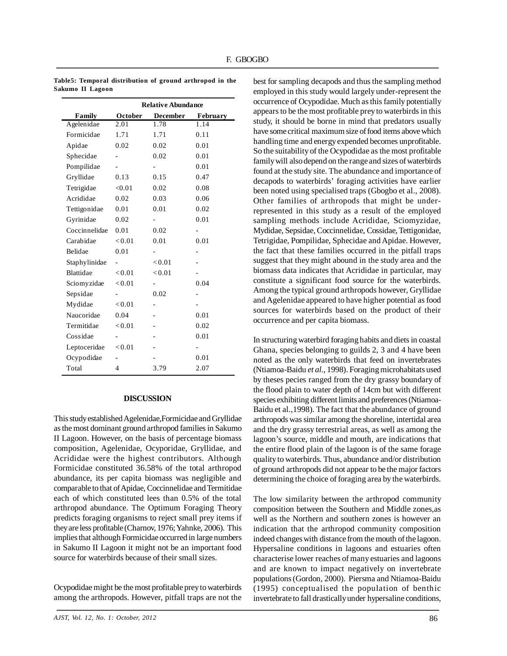|               | <b>Relative Abundance</b> |          |          |  |
|---------------|---------------------------|----------|----------|--|
| Family        | October                   | December | February |  |
| Agelenidae    | 2.01                      | 1.78     | 1.14     |  |
| Formicidae    | 1.71                      | 1.71     | 0.11     |  |
| Apidae        | 0.02                      | 0.02     | 0.01     |  |
| Sphecidae     |                           | 0.02     | 0.01     |  |
| Pompilidae    |                           | -        | 0.01     |  |
| Gryllidae     | 0.13                      | 0.15     | 0.47     |  |
| Tetrigidae    | < 0.01                    | 0.02     | 0.08     |  |
| Acrididae     | 0.02                      | 0.03     | 0.06     |  |
| Tettigonidae  | 0.01                      | 0.01     | 0.02     |  |
| Gyrinidae     | 0.02                      |          | 0.01     |  |
| Coccinnelidae | 0.01                      | 0.02     |          |  |
| Carabidae     | < 0.01                    | 0.01     | 0.01     |  |
| Belidae       | 0.01                      |          |          |  |
| Staphylinidae |                           | < 0.01   |          |  |
| Blattidae     | < 0.01                    | < 0.01   |          |  |
| Sciomyzidae   | < 0.01                    |          | 0.04     |  |
| Sepsidae      |                           | 0.02     |          |  |
| Mydidae       | < 0.01                    |          |          |  |
| Naucoridae    | 0.04                      |          | 0.01     |  |
| Termitidae    | < 0.01                    |          | 0.02     |  |
| Cossidae      |                           |          | 0.01     |  |
| Leptoceridae  | < 0.01                    |          |          |  |
| Ocypodidae    |                           |          | 0.01     |  |
| Total         | 4                         | 3.79     | 2.07     |  |

**Table5: Temporal distribution of ground arthropod in the Sakumo II Lagoon**

#### **DISCUSSION**

This study established Agelenidae,Formicidae and Gryllidae as the most dominant ground arthropod families in Sakumo II Lagoon. However, on the basis of percentage biomass composition, Agelenidae, Ocyporidae, Gryllidae, and Acrididae were the highest contributors. Although Formicidae constituted 36.58% of the total arthropod abundance, its per capita biomass was negligible and comparable to that of Apidae, Coccinnelidae and Termitidae each of which constituted lees than 0.5% of the total arthropod abundance. The Optimum Foraging Theory predicts foraging organisms to reject small prey items if they are less profitable (Charnov, 1976; Yahnke, 2006). This implies that although Formicidae occurred in large numbers in Sakumo II Lagoon it might not be an important food source for waterbirds because of their small sizes.

Ocypodidae might be the most profitable prey to waterbirds among the arthropods. However, pitfall traps are not the best for sampling decapods and thus the sampling method employed in this study would largely under-represent the occurrence of Ocypodidae. Much as this family potentially appears to be the most profitable prey to waterbirds in this study, it should be borne in mind that predators usually have some critical maximum size of food items above which handling time and energy expended becomes unprofitable. So the suitability of the Ocypodidae as the most profitable family will also depend on the range and sizes of waterbirds found at the study site. The abundance and importance of decapods to waterbirds' foraging activities have earlier been noted using specialised traps (Gbogbo et al., 2008). Other families of arthropods that might be underrepresented in this study as a result of the employed sampling methods include Acrididae, Sciomyzidae, Mydidae, Sepsidae, Coccinnelidae, Cossidae, Tettigonidae, Tetrigidae, Pompilidae, Sphecidae and Apidae. However, the fact that these families occurred in the pitfall traps suggest that they might abound in the study area and the biomass data indicates that Acrididae in particular, may constitute a significant food source for the waterbirds. Among the typical ground arthropods however, Gryllidae and Agelenidae appeared to have higher potential as food sources for waterbirds based on the product of their occurrence and per capita biomass.

In structuring waterbird foraging habits and diets in coastal Ghana, species belonging to guilds 2, 3 and 4 have been noted as the only waterbirds that feed on invertebrates (Ntiamoa-Baidu *et al*., 1998). Foraging microhabitats used by theses pecies ranged from the dry grassy boundary of the flood plain to water depth of 14cm but with different species exhibiting different limits and preferences (Ntiamoa-Baidu et al.,1998). The fact that the abundance of ground arthropods was similar among the shoreline, intertidal area and the dry grassy terrestrial areas, as well as among the lagoon's source, middle and mouth, are indications that the entire flood plain of the lagoon is of the same forage quality to waterbirds. Thus, abundance and/or distribution of ground arthropods did not appear to be the major factors determining the choice of foraging area by the waterbirds.

The low similarity between the arthropod community composition between the Southern and Middle zones,as well as the Northern and southern zones is however an indication that the arthropod community composition indeed changes with distance from the mouth of the lagoon. Hypersaline conditions in lagoons and estuaries often characterise lower reaches of many estuaries and lagoons and are known to impact negatively on invertebrate populations (Gordon, 2000). Piersma and Ntiamoa-Baidu (1995) conceptualised the population of benthic invertebrate to fall drastically under hypersaline conditions,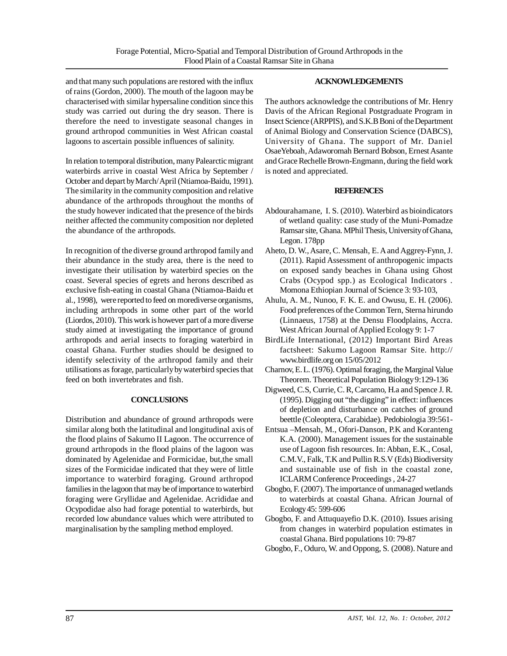and that many such populations are restored with the influx of rains (Gordon, 2000). The mouth of the lagoon may be characterised with similar hypersaline condition since this study was carried out during the dry season. There is therefore the need to investigate seasonal changes in ground arthropod communities in West African coastal lagoons to ascertain possible influences of salinity.

In relation to temporal distribution, many Palearctic migrant waterbirds arrive in coastal West Africa by September / October and depart by March/ April (Ntiamoa-Baidu, 1991). The similarity in the community composition and relative abundance of the arthropods throughout the months of the study however indicated that the presence of the birds neither affected the community composition nor depleted the abundance of the arthropods.

In recognition of the diverse ground arthropod family and their abundance in the study area, there is the need to investigate their utilisation by waterbird species on the coast. Several species of egrets and herons described as exclusive fish-eating in coastal Ghana (Ntiamoa-Baidu et al., 1998), were reported to feed on morediverse organisms, including arthropods in some other part of the world (Liordos, 2010). This work is however part of a more diverse study aimed at investigating the importance of ground arthropods and aerial insects to foraging waterbird in coastal Ghana. Further studies should be designed to identify selectivity of the arthropod family and their utilisations as forage, particularly by waterbird species that feed on both invertebrates and fish.

## **CONCLUSIONS**

Distribution and abundance of ground arthropods were similar along both the latitudinal and longitudinal axis of the flood plains of Sakumo II Lagoon. The occurrence of ground arthropods in the flood plains of the lagoon was dominated by Agelenidae and Formicidae, but,the small sizes of the Formicidae indicated that they were of little importance to waterbird foraging. Ground arthropod families in the lagoon that may be of importance to waterbird foraging were Gryllidae and Agelenidae. Acrididae and Ocypodidae also had forage potential to waterbirds, but recorded low abundance values which were attributed to marginalisation by the sampling method employed.

## **ACKNOWLEDGEMENTS**

The authors acknowledge the contributions of Mr. Henry Davis of the African Regional Postgraduate Program in Insect Science (ARPPIS), and S.K.B Boni of the Department of Animal Biology and Conservation Science (DABCS), University of Ghana. The support of Mr. Daniel OsaeYeboah, Adaworomah Bernard Bobson, Ernest Asante and Grace Rechelle Brown-Engmann, during the field work is noted and appreciated.

## **REFERENCES**

- Abdourahamane, I. S. (2010). Waterbird as bioindicators of wetland quality: case study of the Muni-Pomadze Ramsar site, Ghana. MPhil Thesis, University of Ghana, Legon. 178pp
- Aheto, D. W., Asare, C. Mensah, E. A and Aggrey-Fynn, J. (2011). Rapid Assessment of anthropogenic impacts on exposed sandy beaches in Ghana using Ghost Crabs (Ocypod spp.) as Ecological Indicators . Momona Ethiopian Journal of Science 3: 93-103,
- Ahulu, A. M., Nunoo, F. K. E. and Owusu, E. H. (2006). Food preferences of the Common Tern, Sterna hirundo (Linnaeus, 1758) at the Densu Floodplains, Accra. West African Journal of Applied Ecology 9: 1-7
- BirdLife International, (2012) Important Bird Areas factsheet: Sakumo Lagoon Ramsar Site. http:// www.birdlife.org on 15/05/2012
- Charnov, E. L. (1976). Optimal foraging, the Marginal Value Theorem. Theoretical Population Biology 9:129-136
- Digweed, C.S, Currie, C. R, Carcamo, H.a and Spence J. R. (1995). Digging out "the digging" in effect: influences of depletion and disturbance on catches of ground beettle (Coleoptera, Carabidae). Pedobiologia 39:561-
- Entsua –Mensah, M., Ofori-Danson, P.K and Koranteng K.A. (2000). Management issues for the sustainable use of Lagoon fish resources. In: Abban, E.K., Cosal, C.M.V., Falk, T.K and Pullin R.S.V (Eds) Biodiversity and sustainable use of fish in the coastal zone, ICLARM Conference Proceedings , 24-27
- Gbogbo, F. (2007). The importance of unmanaged wetlands to waterbirds at coastal Ghana. African Journal of Ecology 45: 599-606
- Gbogbo, F. and Attuquayefio D.K. (2010). Issues arising from changes in waterbird population estimates in coastal Ghana. Bird populations 10: 79-87
- Gbogbo, F., Oduro, W. and Oppong, S. (2008). Nature and